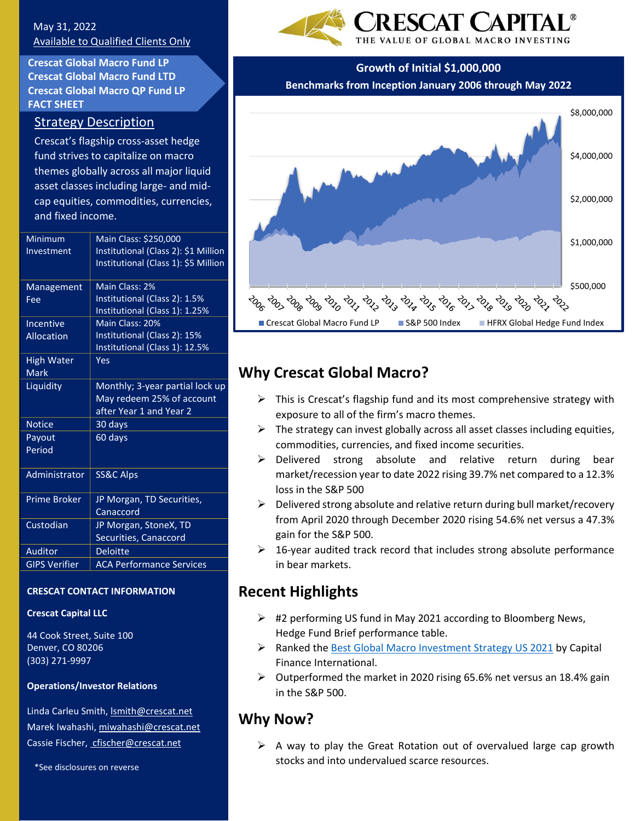## May 31, 2022 Available to Qualified Clients Only

**Crescat Global Macro Fund LP Crescat Global Macro Fund LTD Crescat Global Macro QP Fund LP FACT SHEET**

## Strategy Description

Crescat's flagship cross-asset hedge fund strives to capitalize on macro themes globally across all major liquid asset classes including large- and midcap equities, commodities, currencies, and fixed income.

| Minimum              | Main Class: \$250,000                |
|----------------------|--------------------------------------|
| Investment           | Institutional (Class 2): \$1 Million |
|                      | Institutional (Class 1): \$5 Million |
|                      | Main Class: 2%                       |
| Management           |                                      |
| Fee                  | Institutional (Class 2): 1.5%        |
|                      | Institutional (Class 1): 1.25%       |
| Incentive            | Main Class: 20%                      |
| Allocation           | Institutional (Class 2): 15%         |
|                      | Institutional (Class 1): 12.5%       |
| High Water           | Yes                                  |
| <b>Mark</b>          |                                      |
| Liquidity            | Monthly; 3-year partial lock up      |
|                      | May redeem 25% of account            |
|                      | after Year 1 and Year 2              |
| <b>Notice</b>        | 30 days                              |
| Payout               | 60 days                              |
| Period               |                                      |
|                      |                                      |
| Administrator        | SS&C Alps                            |
|                      |                                      |
| <b>Prime Broker</b>  | JP Morgan, TD Securities,            |
|                      | Canaccord                            |
| Custodian            | JP Morgan, StoneX, TD                |
|                      | Securities, Canaccord                |
| Auditor              | <b>Deloitte</b>                      |
| <b>GIPS Verifier</b> | <b>ACA Performance Services</b>      |
|                      |                                      |

### **CRESCAT CONTACT INFORMATION**

### **Crescat Capital LLC**

44 Cook Street, Suite 100 Denver, CO 80206 (303) 271-9997

### **Operations/Investor Relations**

Linda Carleu Smith[, lsmith@crescat.net](mailto:lsmith@crescat.net) Marek Iwahashi, miwahashi@crescat.net Cassie Fischer, cfischer@crescat.net

\*See disclosures on reverse



## **Growth of Initial \$1,000,000**

**Benchmarks from Inception January 2006 through May 2022**



# **Why Crescat Global Macro?**

- $\triangleright$  This is Crescat's flagship fund and its most comprehensive strategy with exposure to all of the firm's macro themes.
- $\triangleright$  The strategy can invest globally across all asset classes including equities, commodities, currencies, and fixed income securities.
- ➢ Delivered strong absolute and relative return during bear market/recession year to date 2022 rising 39.7% net compared to a 12.3% loss in the S&P 500
- ➢ Delivered strong absolute and relative return during bull market/recovery from April 2020 through December 2020 rising 54.6% net versus a 47.3% gain for the S&P 500.
- $\geq$  16-year audited track record that includes strong absolute performance in bear markets.

# **Recent Highlights**

- $\triangleright$  #2 performing US fund in May 2021 according to Bloomberg News, Hedge Fund Brief performance table.
- ➢ Ranked the [Best Global Macro Investment Strategy US](https://cfi.co/awards/north-america/2021/crescat-capital-best-global-macro-investment-strategy-us-2021/) 2021 by Capital Finance International.
- ➢ Outperformed the market in 2020 rising 65.6% net versus an 18.4% gain in the S&P 500.

# **Why Now?**

 $\triangleright$  A way to play the Great Rotation out of overvalued large cap growth stocks and into undervalued scarce resources.